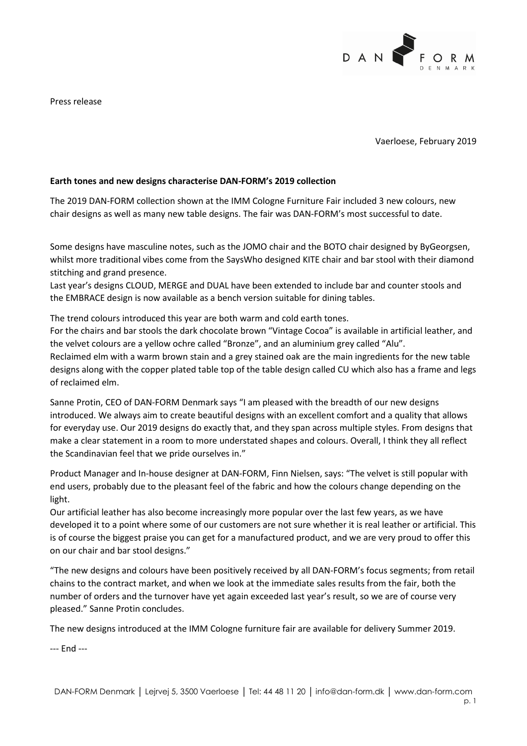

Press release

Vaerloese, February 2019

## **Earth tones and new designs characterise DAN-FORM's 2019 collection**

The 2019 DAN-FORM collection shown at the IMM Cologne Furniture Fair included 3 new colours, new chair designs as well as many new table designs. The fair was DAN-FORM's most successful to date.

Some designs have masculine notes, such as the JOMO chair and the BOTO chair designed by ByGeorgsen, whilst more traditional vibes come from the SaysWho designed KITE chair and bar stool with their diamond stitching and grand presence.

Last year's designs CLOUD, MERGE and DUAL have been extended to include bar and counter stools and the EMBRACE design is now available as a bench version suitable for dining tables.

The trend colours introduced this year are both warm and cold earth tones.

For the chairs and bar stools the dark chocolate brown "Vintage Cocoa" is available in artificial leather, and the velvet colours are a yellow ochre called "Bronze", and an aluminium grey called "Alu".

Reclaimed elm with a warm brown stain and a grey stained oak are the main ingredients for the new table designs along with the copper plated table top of the table design called CU which also has a frame and legs of reclaimed elm.

Sanne Protin, CEO of DAN-FORM Denmark says "I am pleased with the breadth of our new designs introduced. We always aim to create beautiful designs with an excellent comfort and a quality that allows for everyday use. Our 2019 designs do exactly that, and they span across multiple styles. From designs that make a clear statement in a room to more understated shapes and colours. Overall, I think they all reflect the Scandinavian feel that we pride ourselves in."

Product Manager and In-house designer at DAN-FORM, Finn Nielsen, says: "The velvet is still popular with end users, probably due to the pleasant feel of the fabric and how the colours change depending on the light.

Our artificial leather has also become increasingly more popular over the last few years, as we have developed it to a point where some of our customers are not sure whether it is real leather or artificial. This is of course the biggest praise you can get for a manufactured product, and we are very proud to offer this on our chair and bar stool designs."

"The new designs and colours have been positively received by all DAN-FORM's focus segments; from retail chains to the contract market, and when we look at the immediate sales results from the fair, both the number of orders and the turnover have yet again exceeded last year's result, so we are of course very pleased." Sanne Protin concludes.

The new designs introduced at the IMM Cologne furniture fair are available for delivery Summer 2019.

--- End ---

DAN-FORM Denmark │ Lejrvej 5, 3500 Vaerloese │ Tel: 44 48 11 20 │ info@dan-form.dk │ www.dan-form.com